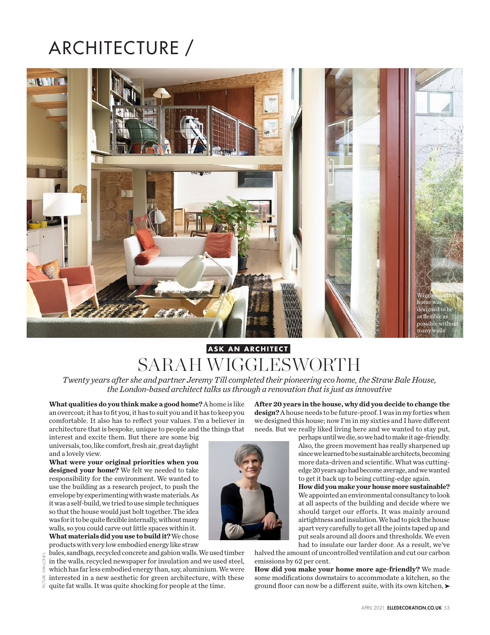## ARCHITECTURE /



## SARAH WIGGLESWORTH **ASK AN ARCHITECT**

*Twenty years after she and partner Jeremy Till completed their pioneering eco home, the Straw Bale House, the London-based architect talks us through a renovation that is just as innovative*

**What qualities do you think make a good home?** A home is like an overcoat; it has to fit you, it has to suit you and it has to keep you comfortable. It also has to reflect your values. I'm a believer in architecture that is bespoke, unique to people and the things that

interest and excite them. But there are some big universals, too, like comfort, fresh air, great daylight and a lovely view.

**What were your original priorities when you designed your home?** We felt we needed to take responsibility for the environment. We wanted to use the building as a research project, to push the envelope by experimenting with waste materials. As it was a self-build, we tried to use simple techniques so that the house would just bolt together. The idea was for it to be quite flexible internally, without many walls, so you could carve out little spaces within it. **What materials did you use to build it?** We chose products with very low embodied energy like straw

bales, sandbags, recycled concrete and gabion walls. We used timber in the walls, recycled newspaper for insulation and we used steel, which has far less embodied energy than, say, aluminium. We were interested in a new aesthetic for green architecture, with these quite fat walls. It was quite shocking for people at the time.

**After 20 years in the house, why did you decide to change the design?** A house needs to be future-proof. I was in my forties when we designed this house; now I'm in my sixties and I have different needs. But we really liked living here and we wanted to stay put,

> perhaps until we die, so we had to make it age-friendly. Also, the green movement has really sharpened up since we learned to be sustainable architects, becoming more data-driven and scientific. What was cuttingedge 20 years ago had become average, and we wanted to get it back up to being cutting-edge again.

> **How did you make your house more sustainable?** We appointed an environmental consultancy to look at all aspects of the building and decide where we should target our efforts. It was mainly around airtightness and insulation. We had to pick the house apart very carefully to get all the joints taped up and put seals around all doors and thresholds. We even had to insulate our larder door. As a result, we've

halved the amount of uncontrolled ventilation and cut our carbon emissions by 62 per cent.

**How did you make your home more age-friendly?** We made some modifications downstairs to accommodate a kitchen, so the ground floor can now be a different suite, with its own kitchen,